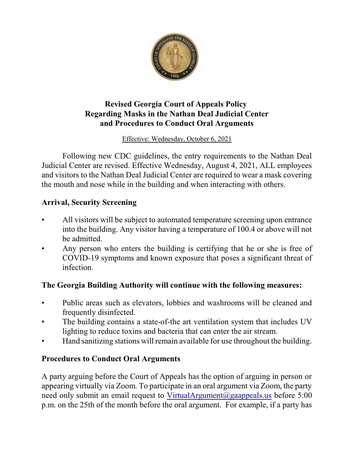

## **Revised Georgia Court of Appeals Policy Regarding Masks in the Nathan Deal Judicial Center and Procedures to Conduct Oral Arguments**

Effective: Wednesday, October 6, 2021

Following new CDC guidelines, the entry requirements to the Nathan Deal Judicial Center are revised. Effective Wednesday, August 4, 2021, ALL employees and visitors to the Nathan Deal Judicial Center are required to wear a mask covering the mouth and nose while in the building and when interacting with others.

## **Arrival, Security Screening**

- All visitors will be subject to automated temperature screening upon entrance into the building. Any visitor having a temperature of 100.4 or above will not be admitted.
- Any person who enters the building is certifying that he or she is free of COVID-19 symptoms and known exposure that poses a significant threat of infection.

## **The Georgia Building Authority will continue with the following measures:**

- Public areas such as elevators, lobbies and washrooms will be cleaned and frequently disinfected.
- The building contains a state-of-the art ventilation system that includes UV lighting to reduce toxins and bacteria that can enter the air stream.
- Hand sanitizing stations will remain available for use throughout the building.

## **Procedures to Conduct Oral Arguments**

A party arguing before the Court of Appeals has the option of arguing in person or appearing virtually via Zoom. To participate in an oral argument via Zoom, the party need only submit an email request to VirtualArgument@gaappeals.us before 5:00 p.m. on the 25th of the month before the oral argument. For example, if a party has